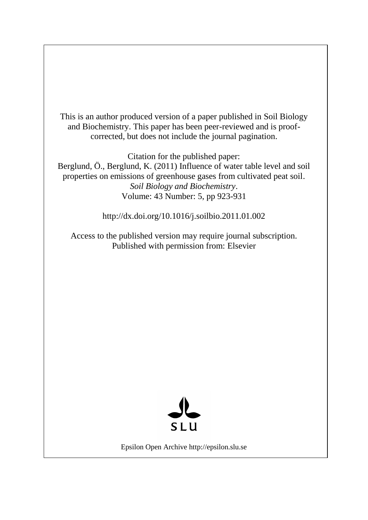This is an author produced version of a paper published in Soil Biology and Biochemistry. This paper has been peer-reviewed and is proofcorrected, but does not include the journal pagination.

Citation for the published paper:

Berglund, Ö., Berglund, K. (2011) Influence of water table level and soil properties on emissions of greenhouse gases from cultivated peat soil. *Soil Biology and Biochemistry*. Volume: 43 Number: 5, pp 923-931

http://dx.doi.org/10.1016/j.soilbio.2011.01.002

Access to the published version may require journal subscription. Published with permission from: Elsevier



Epsilon Open Archive http://epsilon.slu.se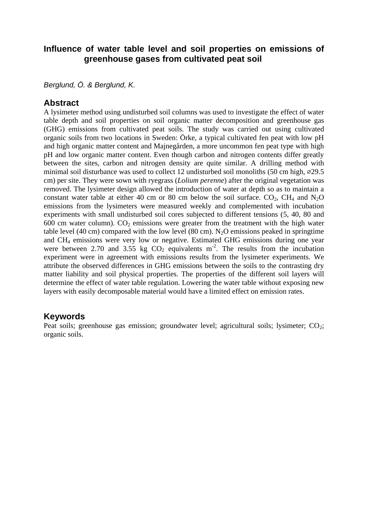## **Influence of water table level and soil properties on emissions of greenhouse gases from cultivated peat soil**

*Berglund, Ö. & Berglund, K.* 

## **Abstract**

A lysimeter method using undisturbed soil columns was used to investigate the effect of water table depth and soil properties on soil organic matter decomposition and greenhouse gas (GHG) emissions from cultivated peat soils. The study was carried out using cultivated organic soils from two locations in Sweden: Örke, a typical cultivated fen peat with low pH and high organic matter content and Majnegården, a more uncommon fen peat type with high pH and low organic matter content. Even though carbon and nitrogen contents differ greatly between the sites, carbon and nitrogen density are quite similar. A drilling method with minimal soil disturbance was used to collect 12 undisturbed soil monoliths  $(50 \text{ cm high}, \infty29.5)$ cm) per site. They were sown with ryegrass (*Lolium perenne*) after the original vegetation was removed. The lysimeter design allowed the introduction of water at depth so as to maintain a constant water table at either 40 cm or 80 cm below the soil surface.  $CO<sub>2</sub>$ , CH<sub>4</sub> and N<sub>2</sub>O emissions from the lysimeters were measured weekly and complemented with incubation experiments with small undisturbed soil cores subjected to different tensions (5, 40, 80 and 600 cm water column).  $CO<sub>2</sub>$  emissions were greater from the treatment with the high water table level (40 cm) compared with the low level (80 cm). N<sub>2</sub>O emissions peaked in springtime and CH<sup>4</sup> emissions were very low or negative. Estimated GHG emissions during one year were between 2.70 and 3.55 kg  $CO<sub>2</sub>$  equivalents m<sup>-2</sup>. The results from the incubation experiment were in agreement with emissions results from the lysimeter experiments. We attribute the observed differences in GHG emissions between the soils to the contrasting dry matter liability and soil physical properties. The properties of the different soil layers will determine the effect of water table regulation. Lowering the water table without exposing new layers with easily decomposable material would have a limited effect on emission rates.

## **Keywords**

Peat soils; greenhouse gas emission; groundwater level; agricultural soils; lysimeter;  $CO_2$ ; organic soils.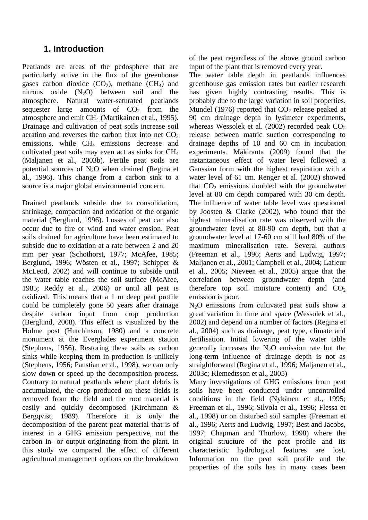# **1. Introduction**

Peatlands are areas of the pedosphere that are particularly active in the flux of the greenhouse gases carbon dioxide  $(CO_2)$ , methane  $(CH_4)$  and nitrous oxide  $(N_2O)$  between soil and the atmosphere. Natural water-saturated peatlands sequester large amounts of  $CO<sub>2</sub>$  from the atmosphere and emit CH<sup>4</sup> (Martikainen et al., 1995). Drainage and cultivation of peat soils increase soil aeration and reverses the carbon flux into net  $CO<sub>2</sub>$ emissions, while CH<sub>4</sub> emissions decrease and cultivated peat soils may even act as sinks for CH<sup>4</sup> (Maljanen et al., 2003b). Fertile peat soils are potential sources of  $N_2O$  when drained (Regina et al., 1996). This change from a carbon sink to a source is a major global environmental concern.

Drained peatlands subside due to consolidation, shrinkage, compaction and oxidation of the organic material (Berglund, 1996). Losses of peat can also occur due to fire or wind and water erosion. Peat soils drained for agriculture have been estimated to subside due to oxidation at a rate between 2 and 20 mm per year (Schothorst, 1977; McAfee, 1985; Berglund, 1996; Wösten et al., 1997; Schipper & McLeod, 2002) and will continue to subside until the water table reaches the soil surface (McAfee, 1985; Reddy et al., 2006) or until all peat is oxidized. This means that a 1 m deep peat profile could be completely gone 50 years after drainage despite carbon input from crop production (Berglund, 2008). This effect is visualized by the Holme post (Hutchinson, 1980) and a concrete monument at the Everglades experiment station (Stephens, 1956). Restoring these soils as carbon sinks while keeping them in production is unlikely (Stephens, 1956; Paustian et al., 1998), we can only slow down or speed up the decomposition process. Contrary to natural peatlands where plant debris is accumulated, the crop produced on these fields is removed from the field and the root material is easily and quickly decomposed (Kirchmann & Bergqvist, 1989). Therefore it is only the decomposition of the parent peat material that is of interest in a GHG emission perspective, not the carbon in- or output originating from the plant. In this study we compared the effect of different agricultural management options on the breakdown of the peat regardless of the above ground carbon input of the plant that is removed every year.

The water table depth in peatlands influences greenhouse gas emission rates but earlier research has given highly contrasting results. This is probably due to the large variation in soil properties. Mundel (1976) reported that  $CO<sub>2</sub>$  release peaked at 90 cm drainage depth in lysimeter experiments, whereas Wessolek et al.  $(2002)$  recorded peak  $CO<sub>2</sub>$ release between matric suction corresponding to drainage depths of 10 and 60 cm in incubation experiments. Mäkiranta (2009) found that the instantaneous effect of water level followed a Gaussian form with the highest respiration with a water level of 61 cm. Renger et al. (2002) showed that  $CO<sub>2</sub>$  emissions doubled with the groundwater level at 80 cm depth compared with 30 cm depth. The influence of water table level was questioned by Joosten & Clarke (2002), who found that the highest mineralisation rate was observed with the groundwater level at 80-90 cm depth, but that a groundwater level at 17-60 cm still had 80% of the maximum mineralisation rate. Several authors (Freeman et al., 1996; Aerts and Ludwig, 1997; Maljanen et al., 2001; Campbell et al., 2004; Lafleur et al., 2005; Nieveen et al., 2005) argue that the correlation between groundwater depth (and therefore top soil moisture content) and  $CO<sub>2</sub>$ emission is poor.

N2O emissions from cultivated peat soils show a great variation in time and space (Wessolek et al., 2002) and depend on a number of factors (Regina et al., 2004) such as drainage, peat type, climate and fertilisation. Initial lowering of the water table generally increases the  $N_2O$  emission rate but the long-term influence of drainage depth is not as straightforward (Regina et al., 1996; Maljanen et al., 2003c; Klemedtsson et al., 2005)

Many investigations of GHG emissions from peat soils have been conducted under uncontrolled conditions in the field (Nykänen et al., 1995; Freeman et al., 1996; Silvola et al., 1996; Flessa et al., 1998) or on disturbed soil samples (Freeman et al., 1996; Aerts and Ludwig, 1997; Best and Jacobs, 1997; Chapman and Thurlow, 1998) where the original structure of the peat profile and its characteristic hydrological features are lost. Information on the peat soil profile and the properties of the soils has in many cases been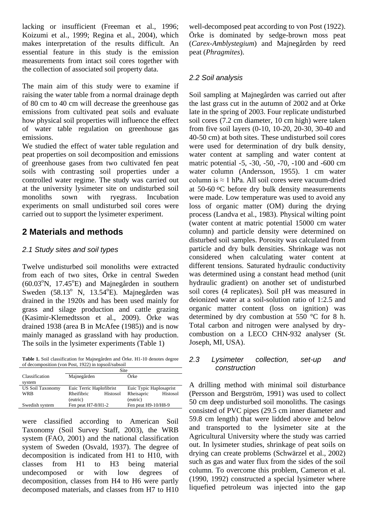lacking or insufficient (Freeman et al., 1996; Koizumi et al., 1999; Regina et al., 2004), which makes interpretation of the results difficult. An essential feature in this study is the emission measurements from intact soil cores together with the collection of associated soil property data.

The main aim of this study were to examine if raising the water table from a normal drainage depth of 80 cm to 40 cm will decrease the greenhouse gas emissions from cultivated peat soils and evaluate how physical soil properties will influence the effect of water table regulation on greenhouse gas emissions.

We studied the effect of water table regulation and peat properties on soil decomposition and emissions of greenhouse gases from two cultivated fen peat soils with contrasting soil properties under a controlled water regime. The study was carried out at the university lysimeter site on undisturbed soil monoliths sown with ryegrass. Incubation experiments on small undisturbed soil cores were carried out to support the lysimeter experiment.

# **2 Materials and methods**

## *2.1 Study sites and soil types*

Twelve undisturbed soil monoliths were extracted from each of two sites, Örke in central Sweden  $(60.03^{\circ}N, 17.45^{\circ}E)$  and Majnegården in southern Sweden  $(58.13^{\circ} \text{ N}, 13.54^{\circ} \text{E})$ . Majnegården was drained in the 1920s and has been used mainly for grass and silage production and cattle grazing (Kasimir-Klemedtsson et al., 2009). Örke was drained 1938 (area B in McAfee (1985)) and is now mainly managed as grassland with hay production. The soils in the lysimeter experiments (Table 1)

**Table 1.** Soil classification for Majnegården and Örke. H1-10 denotes degree of decomposition (von Post, 1922) in topsoil/subsoil

|                         | Site                     |  |                         |          |  |  |
|-------------------------|--------------------------|--|-------------------------|----------|--|--|
| Classification          | Majnegården              |  | Örke                    |          |  |  |
| system                  |                          |  |                         |          |  |  |
| <b>US Soil Taxonomy</b> | Euic Terric Haplofibrist |  | Euic Typic Haplosaprist |          |  |  |
| WRB                     | Rheifibric<br>Histosol   |  | Rheisapric              | Histosol |  |  |
|                         | (eutric)                 |  | (eutric)                |          |  |  |
| Swedish system          | Fen peat H7-8/H1-2       |  | Fen peat H9-10/H8-9     |          |  |  |

were classified according to American Soil Taxonomy (Soil Survey Staff, 2003), the WRB system (FAO, 2001) and the national classification system of Sweden (Osvald, 1937). The degree of decomposition is indicated from H1 to H10, with classes from H1 to H3 being material undecomposed or with low degrees of decomposition, classes from H4 to H6 were partly decomposed materials, and classes from H7 to H10 well-decomposed peat according to von Post (1922). Örke is dominated by sedge-brown moss peat (*Carex-Amblystegium*) and Majnegården by reed peat (*Phragmites*).

## *2.2 Soil analysis*

Soil sampling at Majnegården was carried out after the last grass cut in the autumn of 2002 and at Örke late in the spring of 2003. Four replicate undisturbed soil cores (7.2 cm diameter, 10 cm high) were taken from five soil layers (0-10, 10-20, 20-30, 30-40 and 40-50 cm) at both sites. These undisturbed soil cores were used for determination of dry bulk density, water content at sampling and water content at matric potential -5, -30, -50, -70, -100 and -600 cm water column (Andersson, 1955). 1 cm water column is  $\approx$  1 hPa. All soil cores were vacuum-dried at 50-60 oC before dry bulk density measurements were made. Low temperature was used to avoid any loss of organic matter (OM) during the drying process (Landva et al., 1983). Physical wilting point (water content at matric potential 15000 cm water column) and particle density were determined on disturbed soil samples. Porosity was calculated from particle and dry bulk densities. Shrinkage was not considered when calculating water content at different tensions. Saturated hydraulic conductivity was determined using a constant head method (unit hydraulic gradient) on another set of undisturbed soil cores (4 replicates). Soil pH was measured in deionized water at a soil-solution ratio of 1:2.5 and organic matter content (loss on ignition) was determined by dry combustion at 550 °C for 8 h. Total carbon and nitrogen were analysed by drycombustion on a LECO CHN-932 analyser (St. Joseph, MI, USA).

#### *2.3 Lysimeter collection, set-up and construction*

A drilling method with minimal soil disturbance (Persson and Bergström, 1991) was used to collect 50 cm deep undisturbed soil monoliths. The casings consisted of PVC pipes (29.5 cm inner diameter and 59.8 cm length) that were lidded above and below and transported to the lysimeter site at the Agricultural University where the study was carried out. In lysimeter studies, shrinkage of peat soils on drying can create problems (Schwärzel et al., 2002) such as gas and water flux from the sides of the soil column. To overcome this problem, Cameron et al. (1990, 1992) constructed a special lysimeter where liquefied petroleum was injected into the gap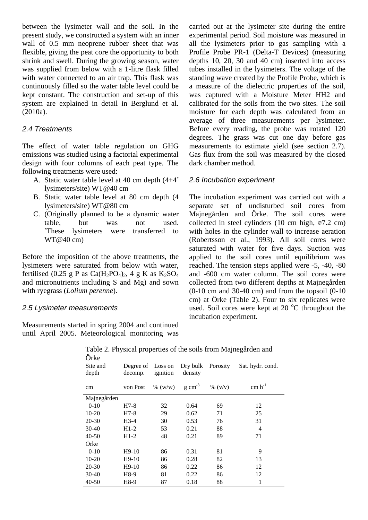between the lysimeter wall and the soil. In the present study, we constructed a system with an inner wall of 0.5 mm neoprene rubber sheet that was flexible, giving the peat core the opportunity to both shrink and swell. During the growing season, water was supplied from below with a 1-litre flask filled with water connected to an air trap. This flask was continuously filled so the water table level could be kept constant. The construction and set-up of this system are explained in detail in Berglund et al. (2010a).

#### *2.4 Treatments*

The effect of water table regulation on GHG emissions was studied using a factorial experimental design with four columns of each peat type. The following treatments were used:

- A. Static water table level at 40 cm depth (4+4\* lysimeters/site) WT@40 cm
- B. Static water table level at 80 cm depth (4 lysimeters/site) WT@80 cm
- C. (Originally planned to be a dynamic water table, but was not used. \*These lysimeters were transferred to WT@40 cm)

Before the imposition of the above treatments, the lysimeters were saturated from below with water, fertilised (0.25 g P as Ca(H<sub>2</sub>PO<sub>4</sub>)<sub>2</sub>, 4 g K as K<sub>2</sub>SO<sub>4</sub> and micronutrients including S and Mg) and sown with ryegrass (*Lolium perenne*).

#### *2.5 Lysimeter measurements*

Measurements started in spring 2004 and continued until April 2005. Meteorological monitoring was carried out at the lysimeter site during the entire experimental period. Soil moisture was measured in all the lysimeters prior to gas sampling with a Profile Probe PR-1 (Delta-T Devices) (measuring depths 10, 20, 30 and 40 cm) inserted into access tubes installed in the lysimeters. The voltage of the standing wave created by the Profile Probe, which is a measure of the dielectric properties of the soil, was captured with a Moisture Meter HH2 and calibrated for the soils from the two sites. The soil moisture for each depth was calculated from an average of three measurements per lysimeter. Before every reading, the probe was rotated 120 degrees. The grass was cut one day before gas measurements to estimate yield (see section 2.7). Gas flux from the soil was measured by the closed dark chamber method.

#### *2.6 Incubation experiment*

The incubation experiment was carried out with a separate set of undisturbed soil cores from Majnegården and Örke. The soil cores were collected in steel cylinders (10 cm high,  $\varnothing$ 7.2 cm) with holes in the cylinder wall to increase aeration (Robertsson et al., 1993). All soil cores were saturated with water for five days. Suction was applied to the soil cores until equilibrium was reached. The tension steps applied were -5, -40, -80 and -600 cm water column. The soil cores were collected from two different depths at Majnegården  $(0-10 \text{ cm and } 30-40 \text{ cm})$  and from the topsoil  $(0-10 \text{ cm})$ cm) at Örke (Table 2). Four to six replicates were used. Soil cores were kept at 20 $\degree$ C throughout the incubation experiment.

| Site and    | Degree of Loss on |            | Dry bulk            | Porosity   | Sat. hydr. cond. |
|-------------|-------------------|------------|---------------------|------------|------------------|
| depth       | decomp.           | ignition   | density             |            |                  |
| cm          | von Post          | $\%$ (w/w) | $g \text{ cm}^{-3}$ | $\%$ (v/v) | $cm h^{-1}$      |
| Majnegården |                   |            |                     |            |                  |
| $0 - 10$    | $H7-8$            | 32         | 0.64                | 69         | 12               |
| $10 - 20$   | $H7-8$            | 29         | 0.62                | 71         | 25               |
| 20-30       | $H3-4$            | 30         | 0.53                | 76         | 31               |
| 30-40       | $H1-2$            | 53         | 0.21                | 88         | 4                |
| $40 - 50$   | $H1-2$            | 48         | 0.21                | 89         | 71               |
| Örke        |                   |            |                     |            |                  |
| $0-10$      | $H9-10$           | 86         | 0.31                | 81         | 9                |
| $10 - 20$   | $H9-10$           | 86         | 0.28                | 82         | 13               |
| 20-30       | $H9-10$           | 86         | 0.22                | 86         | 12               |
| 30-40       | H8-9              | 81         | 0.22                | 86         | 12               |
| $40 - 50$   | H8-9              | 87         | 0.18                | 88         | 1                |

Table 2. Physical properties of the soils from Majnegården and  $\ddot{\circ}$  i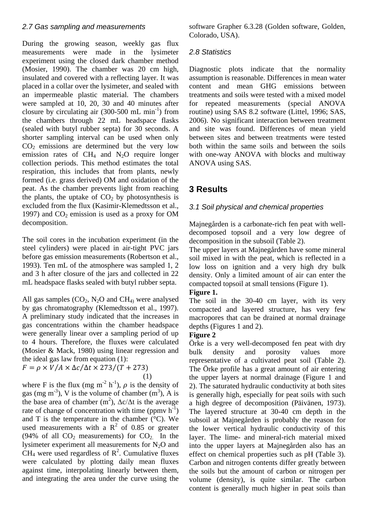### *2.7 Gas sampling and measurements*

During the growing season, weekly gas flux measurements were made in the lysimeter experiment using the closed dark chamber method (Mosier, 1990). The chamber was 20 cm high, insulated and covered with a reflecting layer. It was placed in a collar over the lysimeter, and sealed with an impermeable plastic material. The chambers were sampled at 10, 20, 30 and 40 minutes after closure by circulating air  $(300-500 \text{ mL min}^{-1})$  from the chambers through 22 mL headspace flasks (sealed with butyl rubber septa) for 30 seconds. A shorter sampling interval can be used when only  $CO<sub>2</sub>$  emissions are determined but the very low emission rates of  $CH<sub>4</sub>$  and N<sub>2</sub>O require longer collection periods. This method estimates the total respiration, this includes that from plants, newly formed (i.e. grass derived) OM and oxidation of the peat. As the chamber prevents light from reaching the plants, the uptake of  $CO<sub>2</sub>$  by photosynthesis is excluded from the flux (Kasimir-Klemedtsson et al., 1997) and  $CO<sub>2</sub>$  emission is used as a proxy for OM decomposition.

The soil cores in the incubation experiment (in the steel cylinders) were placed in air-tight PVC jars before gas emission measurements (Robertson et al., 1993). Ten mL of the atmosphere was sampled 1, 2 and 3 h after closure of the jars and collected in 22 mL headspace flasks sealed with butyl rubber septa.

All gas samples  $(CO_2, N_2O)$  and  $CH_4$  were analysed by gas chromatography (Klemedtsson et al., 1997). A preliminary study indicated that the increases in gas concentrations within the chamber headspace were generally linear over a sampling period of up to 4 hours. Therefore, the fluxes were calculated (Mosier & Mack, 1980) using linear regression and the ideal gas law from equation (1):

$$
F = \rho \times V/A \times \Delta c/\Delta t \times 273/(T + 273)
$$
  
(1)

where F is the flux (mg m<sup>-2</sup> h<sup>-1</sup>),  $\rho$  is the density of gas (mg m<sup>-3</sup>), V is the volume of chamber  $(m^3)$ , A is the base area of chamber  $(m^2)$ ,  $\Delta c/\Delta t$  is the average rate of change of concentration with time (ppmv  $h^{-1}$ ) and T is the temperature in the chamber  $(^{\circ}C)$ . We used measurements with a  $R^2$  of 0.85 or greater (94% of all  $CO<sub>2</sub>$  measurements) for  $CO<sub>2</sub>$  In the lysimeter experiment all measurements for  $N_2O$  and  $CH<sub>4</sub>$  were used regardless of  $R<sup>2</sup>$ . Cumulative fluxes were calculated by plotting daily mean fluxes against time, interpolating linearly between them, and integrating the area under the curve using the

software Grapher 6.3.28 (Golden software, Golden, Colorado, USA).

## *2.8 Statistics*

Diagnostic plots indicate that the normality assumption is reasonable. Differences in mean water content and mean GHG emissions between treatments and soils were tested with a mixed model for repeated measurements (special ANOVA routine) using SAS 8.2 software (Littel, 1996; SAS, 2006). No significant interaction between treatment and site was found. Differences of mean yield between sites and between treatments were tested both within the same soils and between the soils with one-way ANOVA with blocks and multiway ANOVA using SAS.

# **3 Results**

## *3.1 Soil physical and chemical properties*

Majnegården is a carbonate-rich fen peat with welldecomposed topsoil and a very low degree of decomposition in the subsoil (Table 2).

The upper layers at Majnegården have some mineral soil mixed in with the peat, which is reflected in a low loss on ignition and a very high dry bulk density. Only a limited amount of air can enter the compacted topsoil at small tensions (Figure 1).

### **Figure 1.**

The soil in the 30-40 cm layer, with its very compacted and layered structure, has very few macropores that can be drained at normal drainage depths (Figures 1 and 2).

### **Figure 2**

Örke is a very well-decomposed fen peat with dry bulk density and porosity values more representative of a cultivated peat soil (Table 2). The Örke profile has a great amount of air entering the upper layers at normal drainage (Figure 1 and 2). The saturated hydraulic conductivity at both sites is generally high, especially for peat soils with such a high degree of decomposition (Päivänen, 1973). The layered structure at 30-40 cm depth in the subsoil at Majnegården is probably the reason for the lower vertical hydraulic conductivity of this layer. The lime- and mineral-rich material mixed into the upper layers at Majnegården also has an effect on chemical properties such as pH (Table 3). Carbon and nitrogen contents differ greatly between the soils but the amount of carbon or nitrogen per volume (density), is quite similar. The carbon content is generally much higher in peat soils than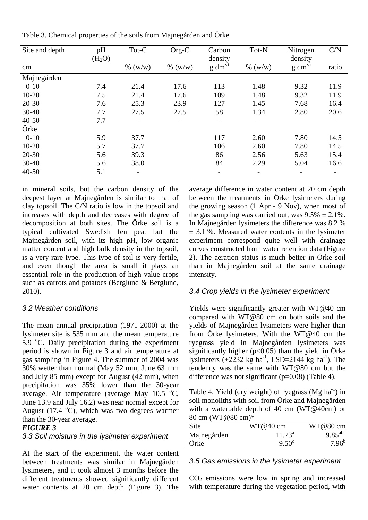| Site and depth | pH<br>(H <sub>2</sub> O) | Tot-C   | Org-C      | Carbon<br>density | Tot-N                    | Nitrogen<br>density   | C/N   |
|----------------|--------------------------|---------|------------|-------------------|--------------------------|-----------------------|-------|
| cm             |                          | % (w/w) | $\%$ (w/w) | $g \, dm^{-3}$    | $\%$ (w/w)               | $g \, \text{dm}^{-3}$ | ratio |
| Majnegården    |                          |         |            |                   |                          |                       |       |
| $0-10$         | 7.4                      | 21.4    | 17.6       | 113               | 1.48                     | 9.32                  | 11.9  |
| $10 - 20$      | 7.5                      | 21.4    | 17.6       | 109               | 1.48                     | 9.32                  | 11.9  |
| $20 - 30$      | 7.6                      | 25.3    | 23.9       | 127               | 1.45                     | 7.68                  | 16.4  |
| $30 - 40$      | 7.7                      | 27.5    | 27.5       | 58                | 1.34                     | 2.80                  | 20.6  |
| $40 - 50$      | 7.7                      |         | -          | -                 | $\overline{\phantom{a}}$ |                       |       |
| Örke           |                          |         |            |                   |                          |                       |       |
| $0 - 10$       | 5.9                      | 37.7    |            | 117               | 2.60                     | 7.80                  | 14.5  |
| $10 - 20$      | 5.7                      | 37.7    |            | 106               | 2.60                     | 7.80                  | 14.5  |
| $20 - 30$      | 5.6                      | 39.3    |            | 86                | 2.56                     | 5.63                  | 15.4  |
| $30 - 40$      | 5.6                      | 38.0    |            | 84                | 2.29                     | 5.04                  | 16.6  |
| $40 - 50$      | 5.1                      |         |            |                   |                          |                       |       |

Table 3. Chemical properties of the soils from Majnegården and Örke

in mineral soils, but the carbon density of the deepest layer at Majnegården is similar to that of clay topsoil. The C/N ratio is low in the topsoil and increases with depth and decreases with degree of decomposition at both sites. The Örke soil is a typical cultivated Swedish fen peat but the Majnegården soil, with its high pH, low organic matter content and high bulk density in the topsoil, is a very rare type. This type of soil is very fertile, and even though the area is small it plays an essential role in the production of high value crops such as carrots and potatoes (Berglund & Berglund, 2010).

### *3.2 Weather conditions*

The mean annual precipitation (1971-2000) at the lysimeter site is 535 mm and the mean temperature 5.9  $\degree$ C. Daily precipitation during the experiment period is shown in Figure 3 and air temperature at gas sampling in Figure 4. The summer of 2004 was 30% wetter than normal (May 52 mm, June 63 mm and July 85 mm) except for August (42 mm), when precipitation was 35% lower than the 30-year average. Air temperature (average May  $10.5 \text{ °C}$ , June 13.9 and July 16.2) was near normal except for August (17.4  $^{\circ}$ C), which was two degrees warmer than the 30-year average.

#### *FIGURE 3*

#### *3.3 Soil moisture in the lysimeter experiment*

At the start of the experiment, the water content between treatments was similar in Majnegården lysimeters, and it took almost 3 months before the different treatments showed significantly different water contents at 20 cm depth (Figure 3). The

average difference in water content at 20 cm depth between the treatments in Örke lysimeters during the growing season (1 Apr - 9 Nov), when most of the gas sampling was carried out, was  $9.5\% \pm 2.1\%$ . In Majnegården lysimeters the difference was 8.2 %  $\pm$  3.1 %. Measured water contents in the lysimeter experiment correspond quite well with drainage curves constructed from water retention data (Figure 2). The aeration status is much better in Örke soil than in Majnegården soil at the same drainage intensity.

#### *3.4 Crop yields in the lysimeter experiment*

Yields were significantly greater with WT@40 cm compared with WT@80 cm on both soils and the yields of Majnegården lysimeters were higher than from Örke lysimeters. With the WT@40 cm the ryegrass yield in Majnegården lysimeters was significantly higher ( $p<0.05$ ) than the yield in Örke lysimeters  $(+2232 \text{ kg} \text{ ha}^{-1}$ , LSD=2144 kg ha<sup>-1</sup>). The tendency was the same with WT@80 cm but the difference was not significant (p=0.08) (Table 4).

Table 4. Yield (dry weight) of ryegrass ( $Mg$  ha<sup>-1</sup>) in soil monoliths with soil from Örke and Majnegården with a watertable depth of 40 cm (WT@40cm) or 80 cm (WT@80 cm)\*

| Site        | $WT@40$ cm      | WT@80 cm                       |
|-------------|-----------------|--------------------------------|
| Majnegården | $11.73^{\circ}$ | $\overline{9.85}^{\text{abc}}$ |
| Orke        | $9.50^{\circ}$  | $7.96^{b}$                     |

#### *3.5 Gas emissions in the lysimeter experiment*

 $CO<sub>2</sub>$  emissions were low in spring and increased with temperature during the vegetation period, with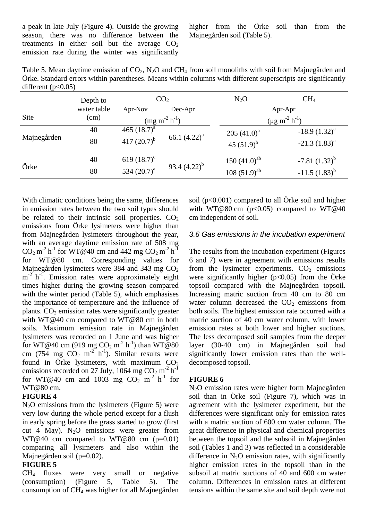a peak in late July (Figure 4). Outside the growing season, there was no difference between the treatments in either soil but the average  $CO<sub>2</sub>$ emission rate during the winter was significantly higher from the Örke soil than from the Majnegården soil (Table 5).

Table 5. Mean daytime emission of CO<sub>2</sub>, N<sub>2</sub>O and CH<sub>4</sub> from soil monoliths with soil from Majnegården and Örke. Standard errors within parentheses. Means within columns with different superscripts are significantly different  $(p<0.05)$ 

|             | Depth to    |                    | CO <sub>2</sub><br>$N_2O$ |                   | CH <sub>4</sub>         |  |  |
|-------------|-------------|--------------------|---------------------------|-------------------|-------------------------|--|--|
|             | water table | Apr-Nov<br>Dec-Apr |                           | Apr-Apr           |                         |  |  |
| Site        | (cm)        | $(mg m-2 h-1)$     |                           |                   | $(\mu g m^{-2} h^{-1})$ |  |  |
| Majnegården | 40          | 465 $(18.7)^{a}$   | 66.1 $(4.22)^a$           | 205 $(41.0)^a$    | $-18.9(1.32)^{a}$       |  |  |
|             | 80          | 417 $(20.7)^{b}$   |                           | 45 $(51.9)^b$     | $-21.3$ $(1.83)^a$      |  |  |
|             | 40          | 619 $(18.7)^c$     |                           | 150 $(41.0)^{ab}$ | $-7.81(1.32)^{b}$       |  |  |
| Örke        | 80          | 534 $(20.7)^a$     | 93.4 $(4.22)^{b}$         | $108 (51.9)^{ab}$ | $-11.5(1.83)^{b}$       |  |  |

With climatic conditions being the same, differences in emission rates between the two soil types should be related to their intrinsic soil properties.  $CO<sub>2</sub>$ emissions from Örke lysimeters were higher than from Majnegården lysimeters throughout the year, with an average daytime emission rate of 508 mg  $CO_2$  m<sup>-2</sup> h<sup>-1</sup> for WT@40 cm and 442 mg  $CO_2$  m<sup>-2</sup> h<sup>-1</sup> for WT@80 cm. Corresponding values for Majnegården lysimeters were 384 and 343 mg  $CO<sub>2</sub>$  $m^{-2}$  h<sup>-1</sup>. Emission rates were approximately eight times higher during the growing season compared with the winter period (Table 5), which emphasises the importance of temperature and the influence of plants.  $CO<sub>2</sub>$  emission rates were significantly greater with WT@40 cm compared to WT@80 cm in both soils. Maximum emission rate in Majnegården lysimeters was recorded on 1 June and was higher for WT@40 cm (919 mg  $CO_2$  m<sup>-2</sup> h<sup>-1</sup>) than WT@80 cm (754 mg  $CO_2$  m<sup>-2</sup> h<sup>-1</sup>). Similar results were found in Örke lysimeters, with maximum  $CO<sub>2</sub>$ emissions recorded on 27 July, 1064 mg  $CO_2$  m<sup>-2</sup> h<sup>-1</sup> for WT@40 cm and 1003 mg  $CO_2$  m<sup>-2</sup> h<sup>-1</sup> for WT@80 cm.

#### **FIGURE 4**

 $N<sub>2</sub>O$  emissions from the lysimeters (Figure 5) were very low during the whole period except for a flush in early spring before the grass started to grow (first cut 4 May).  $N_2O$  emissions were greater from WT@40 cm compared to WT@80 cm  $(p=0.01)$ comparing all lysimeters and also within the Majnegården soil (p=0.02).

### **FIGURE 5**

CH<sup>4</sup> fluxes were very small or negative (consumption) (Figure 5, Table 5). The consumption of CH<sup>4</sup> was higher for all Majnegården soil ( $p<0.001$ ) compared to all Örke soil and higher with WT@80 cm  $(p<0.05)$  compared to WT@40 cm independent of soil.

#### *3.6 Gas emissions in the incubation experiment*

The results from the incubation experiment (Figures 6 and 7) were in agreement with emissions results from the lysimeter experiments.  $CO<sub>2</sub>$  emissions were significantly higher ( $p<0.05$ ) from the Örke topsoil compared with the Majnegården topsoil. Increasing matric suction from 40 cm to 80 cm water column decreased the  $CO<sub>2</sub>$  emissions from both soils. The highest emission rate occurred with a matric suction of 40 cm water column, with lower emission rates at both lower and higher suctions. The less decomposed soil samples from the deeper layer (30-40 cm) in Majnegården soil had significantly lower emission rates than the welldecomposed topsoil.

#### **FIGURE 6**

N2O emission rates were higher form Majnegården soil than in Örke soil (Figure 7), which was in agreement with the lysimeter experiment, but the differences were significant only for emission rates with a matric suction of 600 cm water column. The great difference in physical and chemical properties between the topsoil and the subsoil in Majnegården soil (Tables 1 and 3) was reflected in a considerable difference in  $N_2O$  emission rates, with significantly higher emission rates in the topsoil than in the subsoil at matric suctions of 40 and 600 cm water column. Differences in emission rates at different tensions within the same site and soil depth were not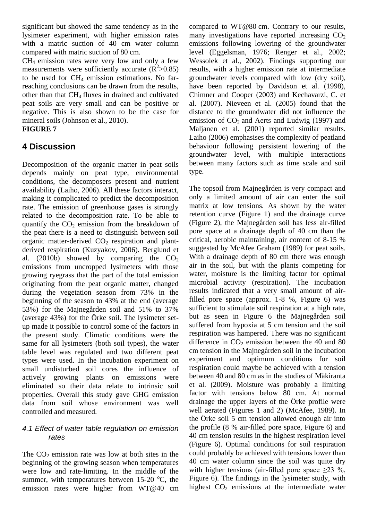significant but showed the same tendency as in the lysimeter experiment, with higher emission rates with a matric suction of 40 cm water column compared with matric suction of 80 cm.

 $CH<sub>4</sub>$  emission rates were very low and only a few measurements were sufficiently accurate  $(R^2 > 0.85)$ to be used for  $CH_4$  emission estimations. No farreaching conclusions can be drawn from the results, other than that CH4 fluxes in drained and cultivated peat soils are very small and can be positive or negative. This is also shown to be the case for mineral soils (Johnson et al., 2010).

# **FIGURE 7**

# **4 Discussion**

Decomposition of the organic matter in peat soils depends mainly on peat type, environmental conditions, the decomposers present and nutrient availability (Laiho, 2006). All these factors interact, making it complicated to predict the decomposition rate. The emission of greenhouse gases is strongly related to the decomposition rate. To be able to quantify the  $CO<sub>2</sub>$  emission from the breakdown of the peat there is a need to distinguish between soil organic matter-derived  $CO<sub>2</sub>$  respiration and plantderived respiration (Kuzyakov, 2006). Berglund et al. (2010b) showed by comparing the  $CO<sub>2</sub>$ emissions from uncropped lysimeters with those growing ryegrass that the part of the total emission originating from the peat organic matter, changed during the vegetation season from 73% in the beginning of the season to 43% at the end (average 53%) for the Majnegården soil and 51% to 37% (average 43%) for the Örke soil. The lysimeter setup made it possible to control some of the factors in the present study. Climatic conditions were the same for all lysimeters (both soil types), the water table level was regulated and two different peat types were used. In the incubation experiment on small undisturbed soil cores the influence of actively growing plants on emissions were eliminated so their data relate to intrinsic soil properties. Overall this study gave GHG emission data from soil whose environment was well controlled and measured.

## *4.1 Effect of water table regulation on emission rates*

The  $CO<sub>2</sub>$  emission rate was low at both sites in the beginning of the growing season when temperatures were low and rate-limiting. In the middle of the summer, with temperatures between  $15{\text -}20$  °C, the emission rates were higher from WT@40 cm compared to WT@80 cm. Contrary to our results, many investigations have reported increasing  $CO<sub>2</sub>$ emissions following lowering of the groundwater level (Eggelsman, 1976; Renger et al., 2002; Wessolek et al., 2002). Findings supporting our results, with a higher emission rate at intermediate groundwater levels compared with low (dry soil), have been reported by Davidson et al. (1998). Chimner and Cooper (2003) and Kechavarzi, C. et al. (2007). Nieveen et al. (2005) found that the distance to the groundwater did not influence the emission of  $CO<sub>2</sub>$  and Aerts and Ludwig (1997) and Maljanen et al. (2001) reported similar results. Laiho (2006) emphasises the complexity of peatland behaviour following persistent lowering of the groundwater level, with multiple interactions between many factors such as time scale and soil type.

The topsoil from Majnegården is very compact and only a limited amount of air can enter the soil matrix at low tensions. As shown by the water retention curve (Figure 1) and the drainage curve (Figure 2), the Majnegården soil has less air-filled pore space at a drainage depth of 40 cm than the critical, aerobic maintaining, air content of 8-15 % suggested by McAfee Graham (1989) for peat soils. With a drainage depth of 80 cm there was enough air in the soil, but with the plants competing for water, moisture is the limiting factor for optimal microbial activity (respiration). The incubation results indicated that a very small amount of airfilled pore space (approx. 1-8 %, Figure 6) was sufficient to stimulate soil respiration at a high rate, but as seen in Figure 6 the Majnegården soil suffered from hypoxia at 5 cm tension and the soil respiration was hampered. There was no significant difference in  $CO<sub>2</sub>$  emission between the 40 and 80 cm tension in the Majnegården soil in the incubation experiment and optimum conditions for soil respiration could maybe be achieved with a tension between 40 and 80 cm as in the studies of Mäkiranta et al. (2009). Moisture was probably a limiting factor with tensions below 80 cm. At normal drainage the upper layers of the Örke profile were well aerated (Figures 1 and 2) (McAfee, 1989). In the Örke soil 5 cm tension allowed enough air into the profile (8 % air-filled pore space, Figure 6) and 40 cm tension results in the highest respiration level (Figure 6). Optimal conditions for soil respiration could probably be achieved with tensions lower than 40 cm water column since the soil was quite dry with higher tensions (air-filled pore space  $>23$  %, Figure 6). The findings in the lysimeter study, with highest  $CO<sub>2</sub>$  emissions at the intermediate water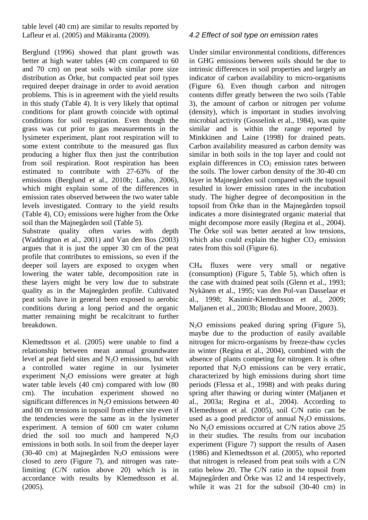table level (40 cm) are similar to results reported by Lafleur et al. (2005) and Mäkiranta (2009).

Berglund (1996) showed that plant growth was better at high water tables (40 cm compared to 60 and 70 cm) on peat soils with similar pore size distribution as Örke, but compacted peat soil types required deeper drainage in order to avoid aeration problems. This is in agreement with the yield results in this study (Table 4). It is very likely that optimal conditions for plant growth coincide with optimal conditions for soil respiration. Even though the grass was cut prior to gas measurements in the lysimeter experiment, plant root respiration will to some extent contribute to the measured gas flux producing a higher flux then just the contribution from soil respiration. Root respiration has been estimated to contribute with 27-63% of the emissions (Berglund et al., 2010b; Laiho, 2006), which might explain some of the differences in emission rates observed between the two water table levels investigated. Contrary to the yield results (Table 4),  $CO<sub>2</sub>$  emissions were higher from the Örke soil than the Majnegården soil (Table 5).

Substrate quality often varies with depth (Waddington et al., 2001) and Van den Bos (2003) argues that it is just the upper 30 cm of the peat profile that contributes to emissions, so even if the deeper soil layers are exposed to oxygen when lowering the water table, decomposition rate in these layers might be very low due to substrate quality as in the Majnegården profile. Cultivated peat soils have in general been exposed to aerobic conditions during a long period and the organic matter remaining might be recalcitrant to further breakdown.

Klemedtsson et al. (2005) were unable to find a relationship between mean annual groundwater level at peat field sites and  $N_2O$  emissions, but with a controlled water regime in our lysimeter experiment  $N_2O$  emissions were greater at high water table levels (40 cm) compared with low (80 cm). The incubation experiment showed no significant differences in  $N<sub>2</sub>O$  emissions between 40 and 80 cm tensions in topsoil from either site even if the tendencies were the same as in the lysimeter experiment. A tension of 600 cm water column dried the soil too much and hampered  $N_2O$ emissions in both soils. In soil from the deeper layer (30-40 cm) at Majnegården  $N_2O$  emissions were closed to zero (Figure 7), and nitrogen was ratelimiting (C/N ratios above 20) which is in accordance with results by Klemedtsson et al. (2005).

## *4.2 Effect of soil type on emission rates*

Under similar environmental conditions, differences in GHG emissions between soils should be due to intrinsic differences in soil properties and largely an indicator of carbon availability to micro-organisms (Figure 6). Even though carbon and nitrogen contents differ greatly between the two soils (Table 3), the amount of carbon or nitrogen per volume (density), which is important in studies involving microbial activity (Gosselink et al., 1984), was quite similar and is within the range reported by Minkkinen and Laine (1998) for drained peats. Carbon availability measured as carbon density was similar in both soils in the top layer and could not explain differences in  $CO<sub>2</sub>$  emission rates between the soils. The lower carbon density of the 30-40 cm layer in Majnegården soil compared with the topsoil resulted in lower emission rates in the incubation study. The higher degree of decomposition in the topsoil from Örke than in the Majnegården topsoil indicates a more disintegrated organic material that might decompose more easily (Regina et al., 2004). The Örke soil was better aerated at low tensions, which also could explain the higher  $CO<sub>2</sub>$  emission rates from this soil (Figure 6).

CH<sup>4</sup> fluxes were very small or negative (consumption) (Figure 5, Table 5), which often is the case with drained peat soils (Glenn et al., 1993; Nykänen et al., 1995; van den Pol-van Dasselaar et al., 1998; Kasimir-Klemedtsson et al., 2009; Maljanen et al., 2003b; Blodau and Moore, 2003).

N2O emissions peaked during spring (Figure 5), maybe due to the production of easily available nitrogen for micro-organisms by freeze-thaw cycles in winter (Regina et al., 2004), combined with the absence of plants competing for nitrogen. It is often reported that  $N_2O$  emissions can be very erratic, characterized by high emissions during short time periods (Flessa et al., 1998) and with peaks during spring after thawing or during winter (Maljanen et al., 2003a; Regina et al., 2004). According to Klemedtsson et al. (2005), soil C/N ratio can be used as a good predictor of annual  $N_2O$  emissions. No  $N<sub>2</sub>O$  emissions occurred at C/N ratios above 25 in their studies. The results from our incubation experiment (Figure 7) support the results of Aasen (1986) and Klemedtsson et al. (2005), who reported that nitrogen is released from peat soils with a C/N ratio below 20. The C/N ratio in the topsoil from Majnegården and Örke was 12 and 14 respectively, while it was 21 for the subsoil (30-40 cm) in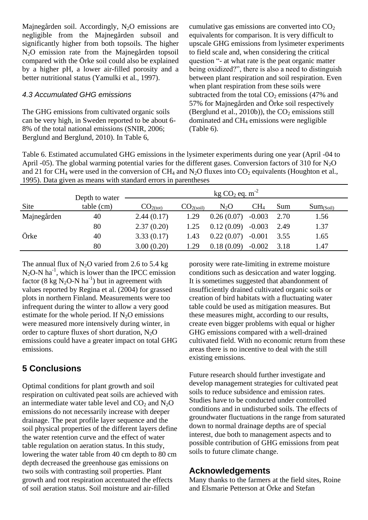Majnegården soil. Accordingly, N<sub>2</sub>O emissions are negligible from the Majnegården subsoil and significantly higher from both topsoils. The higher N2O emission rate from the Majnegården topsoil compared with the Örke soil could also be explained by a higher pH, a lower air-filled porosity and a better nutritional status (Yamulki et al., 1997).

#### *4.3 Accumulated GHG emissions*

The GHG emissions from cultivated organic soils can be very high, in Sweden reported to be about 6- 8% of the total national emissions (SNIR, 2006; Berglund and Berglund, 2010). In Table 6,

cumulative gas emissions are converted into  $CO<sub>2</sub>$ equivalents for comparison. It is very difficult to upscale GHG emissions from lysimeter experiments to field scale and, when considering the critical question "- at what rate is the peat organic matter being oxidized?", there is also a need to distinguish between plant respiration and soil respiration. Even when plant respiration from these soils were subtracted from the total  $CO<sub>2</sub>$  emissions (47% and 57% for Majnegården and Örke soil respectively (Berglund et al., 2010b)), the  $CO<sub>2</sub>$  emissions still dominated and CH<sup>4</sup> emissions were negligible (Table 6).

Table 6. Estimated accumulated GHG emissions in the lysimeter experiments during one year (April -04 to April -05). The global warming potential varies for the different gases. Conversion factors of 310 for  $N_2O$ and 21 for CH<sub>4</sub> were used in the conversion of CH<sub>4</sub> and N<sub>2</sub>O fluxes into CO<sub>2</sub> equivalents (Houghton et al., 1995). Data given as means with standard errors in parentheses

|             | Depth to water | kg $CO2$ eq. $m-2$   |                      |            |                 |      |                |
|-------------|----------------|----------------------|----------------------|------------|-----------------|------|----------------|
| <b>Site</b> | table (cm)     | CO <sub>2(tot)</sub> | CO <sub>2(soil</sub> | $N_2O$     | CH <sub>4</sub> | Sum  | $Sum_{(Soil)}$ |
| Majnegården | 40             | 2.44(0.17)           | 1.29                 | 0.26(0.07) | $-0.003$        | 2.70 | 1.56           |
|             | 80             | 2.37(0.20)           | 1.25                 | 0.12(0.09) | $-0.003$        | 2.49 | 1.37           |
| Örke        | 40             | 3.33(0.17)           | 1.43                 | 0.22(0.07) | $-0.001$        | 3.55 | 1.65           |
|             | 80             | 3.00(0.20)           | 1.29                 | 0.18(0.09) | $-0.002$        | 3.18 | 1.47           |

The annual flux of  $N_2O$  varied from 2.6 to 5.4 kg  $N_2O-N$  ha<sup>-1</sup>, which is lower than the IPCC emission factor (8 kg  $N_2O-N$  ha<sup>-1</sup>) but in agreement with values reported by Regina et al. (2004) for grassed plots in northern Finland. Measurements were too infrequent during the winter to allow a very good estimate for the whole period. If  $N<sub>2</sub>O$  emissions were measured more intensively during winter, in order to capture fluxes of short duration,  $N_2O$ emissions could have a greater impact on total GHG emissions.

# **5 Conclusions**

Optimal conditions for plant growth and soil respiration on cultivated peat soils are achieved with an intermediate water table level and  $CO<sub>2</sub>$  and  $N<sub>2</sub>O$ emissions do not necessarily increase with deeper drainage. The peat profile layer sequence and the soil physical properties of the different layers define the water retention curve and the effect of water table regulation on aeration status. In this study, lowering the water table from 40 cm depth to 80 cm depth decreased the greenhouse gas emissions on two soils with contrasting soil properties. Plant growth and root respiration accentuated the effects of soil aeration status. Soil moisture and air-filled

porosity were rate-limiting in extreme moisture conditions such as desiccation and water logging. It is sometimes suggested that abandonment of insufficiently drained cultivated organic soils or creation of bird habitats with a fluctuating water table could be used as mitigation measures. But these measures might, according to our results, create even bigger problems with equal or higher GHG emissions compared with a well-drained cultivated field. With no economic return from these areas there is no incentive to deal with the still existing emissions.

Future research should further investigate and develop management strategies for cultivated peat soils to reduce subsidence and emission rates. Studies have to be conducted under controlled conditions and in undisturbed soils. The effects of groundwater fluctuations in the range from saturated down to normal drainage depths are of special interest, due both to management aspects and to possible contribution of GHG emissions from peat soils to future climate change.

## **Acknowledgements**

Many thanks to the farmers at the field sites, Roine and Elsmarie Petterson at Örke and Stefan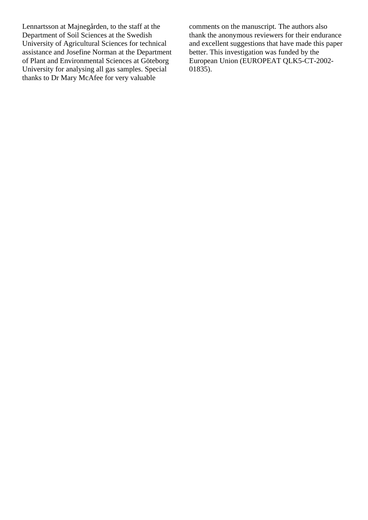Lennartsson at Majnegården, to the staff at the Department of Soil Sciences at the Swedish University of Agricultural Sciences for technical assistance and Josefine Norman at the Department of Plant and Environmental Sciences at Göteborg University for analysing all gas samples. Special thanks to Dr Mary McAfee for very valuable

comments on the manuscript. The authors also thank the anonymous reviewers for their endurance and excellent suggestions that have made this paper better. This investigation was funded by the European Union (EUROPEAT QLK5-CT-2002- 01835).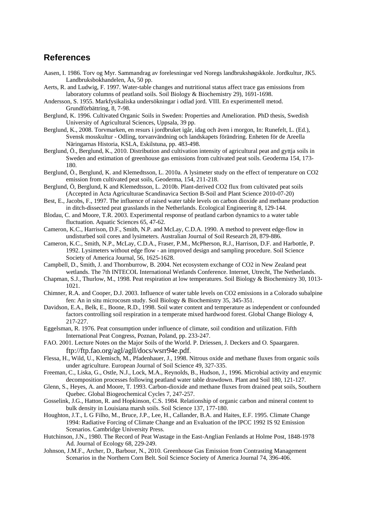## **References**

- Aasen, I. 1986. Torv og Myr. Sammandrag av forelesningar ved Noregs landbrukshøgskkole. Jordkultur, JK5. Landbruksbokhandelen, Ås, 50 pp.
- Aerts, R. and Ludwig, F. 1997. Water-table changes and nutritional status affect trace gas emissions from laboratory columns of peatland soils. Soil Biology & Biochemistry 29), 1691-1698.
- Andersson, S. 1955. Markfysikaliska undersökningar i odlad jord. VIII. En experimentell metod. Grundförbättring, 8, 7-98.
- Berglund, K. 1996. Cultivated Organic Soils in Sweden: Properties and Amelioration. PhD thesis, Swedish University of Agricultural Sciences, Uppsala, 39 pp.
- Berglund, K., 2008. Torvmarken, en resurs i jordbruket igår, idag och även i morgon, In: Runefelt, L. (Ed.), Svensk mosskultur - Odling, torvanvändning och landskapets förändring. Enheten för de Areella Näringarnas Historia, KSLA, Eskilstuna, pp. 483-498.
- Berglund, Ö., Berglund, K., 2010. Distribution and cultivation intensity of agricultural peat and gyttja soils in Sweden and estimation of greenhouse gas emissions from cultivated peat soils. Geoderma 154, 173- 180.
- Berglund, Ö., Berglund, K. and Klemedtsson, L. 2010a. A lysimeter study on the effect of temperature on CO2 emission from cultivated peat soils, Geoderma, 154, 211-218.
- Berglund, Ö, Berglund, K and Klemedtsson, L. 2010b. Plant-derived CO2 flux from cultivated peat soils (Accepted in Acta Agriculturae Scandinavica Section B-Soil and Plant Science 2010-07-20)
- Best, E., Jacobs, F., 1997. The influence of raised water table levels on carbon dioxide and methane production in ditch-dissected peat grasslands in the Netherlands. Ecological Engineering 8, 129-144.
- Blodau, C. and Moore, T.R. 2003. Experimental response of peatland carbon dynamics to a water table fluctuation. Aquatic Sciences 65, 47-62.
- Cameron, K.C., Harrison, D.F., Smith, N.P. and McLay, C.D.A. 1990. A method to prevent edge-flow in undisturbed soil cores and lysimeters. Australian Journal of Soil Research 28, 879-886.
- Cameron, K.C., Smith, N.P., McLay, C.D.A., Fraser, P.M., McPherson, R.J., Harrison, D.F. and Harbottle, P. 1992. Lysimeters without edge flow - an improved design and sampling procedure. Soil Science Society of America Journal, 56, 1625-1628.
- Campbell, D., Smith, J. and Thornburrow, B. 2004. Net ecosystem exchange of CO2 in New Zealand peat wetlands. The 7th INTECOL International Wetlands Conference. Internet, Utrecht, The Netherlands.
- Chapman, S.J., Thurlow, M., 1998. Peat respiration at low temperatures. Soil Biology & Biochemistry 30, 1013- 1021.
- Chimner, R.A. and Cooper, D.J. 2003. Influence of water table levels on CO2 emissions in a Colorado subalpine fen: An in situ microcosm study. Soil Biology & Biochemistry 35, 345-351.
- Davidson, E.A., Belk, E., Boone, R.D., 1998. Soil water content and temperature as independent or confounded factors controlling soil respiration in a temperate mixed hardwood forest. Global Change Biology 4, 217-227.
- Eggelsman, R. 1976. Peat consumption under influence of climate, soil condition and utilization. Fifth International Peat Congress, Poznan, Poland, pp. 233-247.
- FAO. 2001. Lecture Notes on the Major Soils of the World. P. Driessen, J. Deckers and O. Spaargaren. ftp://ftp.fao.org/agl/agll/docs/wsrr94e.pdf.
- Flessa, H., Wild, U., Klemisch, M., Pfadenhauer, J., 1998. Nitrous oxide and methane fluxes from organic soils under agriculture. European Journal of Soil Science 49, 327-335.
- Freeman, C., Liska, G., Ostle, N.J., Lock, M.A., Reynolds, B., Hudson, J., 1996. Microbial activity and enzymic decomposition processes following peatland water table drawdown. Plant and Soil 180, 121-127.
- Glenn, S., Heyes, A. and Moore, T. 1993. Carbon-dioxide and methane fluxes from drained peat soils, Southern Quebec. Global Biogeochemical Cycles 7, 247-257.
- Gosselink, J.G., Hatton, R. and Hopkinson, C.S. 1984. Relationship of organic carbon and mineral content to bulk density in Louisiana marsh soils. Soil Science 137, 177-180.
- Houghton, J.T., L G Filho, M., Bruce, J.P., Lee, H., Callander, B.A. and Haites, E.F. 1995. Climate Change 1994: Radiative Forcing of Climate Change and an Evaluation of the IPCC 1992 IS 92 Emission Scenarios. Cambridge University Press.
- Hutchinson, J.N., 1980. The Record of Peat Wastage in the East-Anglian Fenlands at Holme Post, 1848-1978 Ad. Journal of Ecology 68, 229-249.
- Johnson, J.M.F., Archer, D., Barbour, N., 2010. Greenhouse Gas Emission from Contrasting Management Scenarios in the Northern Corn Belt. Soil Science Society of America Journal 74, 396-406.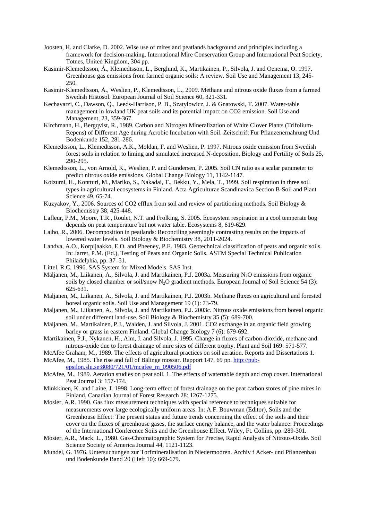- Joosten, H. and Clarke, D. 2002. Wise use of mires and peatlands background and principles including a framework for decision-making. International Mire Conservation Group and International Peat Society, Totnes, United Kingdom, 304 pp.
- Kasimir-Klemedtsson, Å., Klemedtsson, L., Berglund, K., Martikainen, P., Silvola, J. and Oenema, O. 1997. Greenhouse gas emissions from farmed organic soils: A review. Soil Use and Management 13, 245- 250.
- Kasimir-Klemedtsson, Å., Weslien, P., Klemedtsson, L., 2009. Methane and nitrous oxide fluxes from a farmed Swedish Histosol. European Journal of Soil Science 60, 321-331.
- Kechavarzi, C., Dawson, Q., Leeds-Harrison, P. B., Szatylowicz, J. & Gnatowski, T. 2007. Water-table management in lowland UK peat soils and its potential impact on CO2 emission. Soil Use and Management, 23, 359-367.
- Kirchmann, H., Bergqvist, R., 1989. Carbon and Nitrogen Mineralization of White Clover Plants (Trifolium-Repens) of Different Age during Aerobic Incubation with Soil. Zeitschrift Fur Pflanzenernahrung Und Bodenkunde 152, 281-286.
- Klemedtsson, L., Klemedtsson, A.K., Moldan, F. and Weslien, P. 1997. Nitrous oxide emission from Swedish forest soils in relation to liming and simulated increased N-deposition. Biology and Fertility of Soils 25, 290-295.
- Klemedtsson, L., von Arnold, K., Weslien, P. and Gundersen, P. 2005. Soil CN ratio as a scalar parameter to predict nitrous oxide emissions. Global Change Biology 11, 1142-1147.
- Koizumi, H., Kontturi, M., Mariko, S., Nakadai, T., Bekku, Y., Mela, T., 1999. Soil respiration in three soil types in agricultural ecosystems in Finland. Acta Agriculturae Scandinavica Section B-Soil and Plant Science 49, 65-74.
- Kuzyakov, Y., 2006. Sources of CO2 efflux from soil and review of partitioning methods. Soil Biology & Biochemistry 38, 425-448.
- Lafleur, P.M., Moore, T.R., Roulet, N.T. and Frolking, S. 2005. Ecosystem respiration in a cool temperate bog depends on peat temperature but not water table. Ecosystems 8, 619-629.
- Laiho, R., 2006. Decomposition in peatlands: Reconciling seemingly contrasting results on the impacts of lowered water levels. Soil Biology & Biochemistry 38, 2011-2024.
- Landva, A.O., Korpijaakko, E.O. and Pheeney, P.E. 1983. Geotechnical classification of peats and organic soils. In: Jarret, P.M. (Ed.), Testing of Peats and Organic Soils. ASTM Special Technical Publication Philadelphia, pp. 37–51.
- Littel, R.C. 1996. SAS System for Mixed Models. SAS Inst.
- Maljanen, M., Liikanen, A., Silvola, J. and Martikainen, P.J. 2003a. Measuring N<sub>2</sub>O emissions from organic soils by closed chamber or soil/snow  $N_2O$  gradient methods. European Journal of Soil Science 54 (3): 625-631.
- Maljanen, M., Liikanen, A., Silvola, J. and Martikainen, P.J. 2003b. Methane fluxes on agricultural and forested boreal organic soils. Soil Use and Management 19 (1): 73-79.
- Maljanen, M., Liikanen, A., Silvola, J. and Martikainen, P.J. 2003c. Nitrous oxide emissions from boreal organic soil under different land-use. Soil Biology & Biochemistry 35 (5): 689-700.
- Maljanen, M., Martikainen, P.J., Walden, J. and Silvola, J. 2001. CO2 exchange in an organic field growing barley or grass in eastern Finland. Global Change Biology 7 (6): 679-692.
- Martikainen, P.J., Nykanen, H., Alm, J. and Silvola, J. 1995. Change in fluxes of carbon-dioxide, methane and nitrous-oxide due to forest drainage of mire sites of different trophy. Plant and Soil 169: 571-577.
- McAfee Graham, M., 1989. The effects of agricultural practices on soil aeration. Reports and Dissertations 1. McAfee, M., 1985. The rise and fall of Bälinge mossar. Rapport 147, 69 pp[. http://pub-](http://pub-epsilon.slu.se:8080/721/01/mcafee_m_090506.pdf)
- [epsilon.slu.se:8080/721/01/mcafee\\_m\\_090506.pdf](http://pub-epsilon.slu.se:8080/721/01/mcafee_m_090506.pdf)
- McAfee, M., 1989. Aeration studies on peat soil. 1. The effects of watertable depth and crop cover. International Peat Journal 3: 157-174.
- Minkkinen, K. and Laine, J. 1998. Long-term effect of forest drainage on the peat carbon stores of pine mires in Finland. Canadian Journal of Forest Research 28: 1267-1275.
- Mosier, A.R. 1990. Gas flux measurement techniques with special reference to techniques suitable for measurements over large ecologically uniform areas. In: A.F. Bouwman (Editor), Soils and the Greenhouse Effect: The present status and future trends concerning the effect of the soils and their cover on the fluxes of greenhouse gases, the surface energy balance, and the water balance: Proceedings of the International Conference Soils and the Greenhouse Effect. Wiley, Ft. Collins, pp. 289-301.
- Mosier, A.R., Mack, L., 1980. Gas-Chromatographic System for Precise, Rapid Analysis of Nitrous-Oxide. Soil Science Society of America Journal 44, 1121-1123.
- Mundel, G. 1976. Untersuchungen zur Torfmineralisation in Niedermooren. Archiv f Acker- und Pflanzenbau und Bodenkunde Band 20 (Heft 10): 669-679.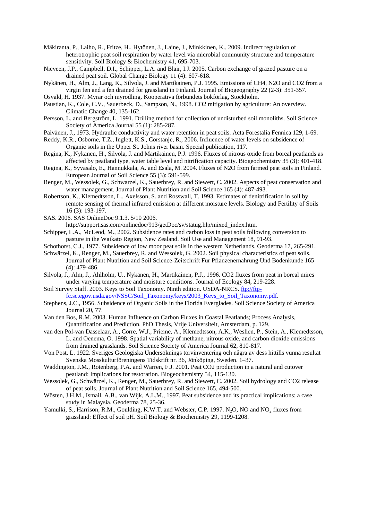- Mäkiranta, P., Laiho, R., Fritze, H., Hytönen, J., Laine, J., Minkkinen, K., 2009. Indirect regulation of heterotrophic peat soil respiration by water level via microbial community structure and temperature sensitivity. Soil Biology & Biochemistry 41, 695-703.
- Nieveen, J.P., Campbell, D.I., Schipper, L.A. and Blair, I.J. 2005. Carbon exchange of grazed pasture on a drained peat soil. Global Change Biology 11 (4): 607-618.
- Nykänen, H., Alm, J., Lang, K., Silvola, J. and Martikainen, P.J. 1995. Emissions of CH4, N2O and CO2 from a virgin fen and a fen drained for grassland in Finland. Journal of Biogeography 22 (2-3): 351-357.
- Osvald, H. 1937. Myrar och myrodling. Kooperativa förbundets bokförlag, Stockholm.
- Paustian, K., Cole, C.V., Sauerbeck, D., Sampson, N., 1998. CO2 mitigation by agriculture: An overview. Climatic Change 40, 135-162.
- Persson, L. and Bergström, L. 1991. Drilling method for collection of undisturbed soil monoliths. Soil Science Society of America Journal 55 (1): 285-287.
- Päivänen, J., 1973. Hydraulic conductivity and water retention in peat soils. Acta Forestalia Fennica 129, 1-69.

Reddy, K.R., Osborne, T.Z., Inglett, K.S., Corstanje, R., 2006. Influence of water levels on subsidence of Organic soils in the Upper St. Johns river basin. Special publication, 117.

- Regina, K., Nykanen, H., Silvola, J. and Martikainen, P.J. 1996. Fluxes of nitrous oxide from boreal peatlands as affected by peatland type, water table level and nitrification capacity. Biogeochemistry 35 (3): 401-418.
- Regina, K., Syvasalo, E., Hannukkala, A. and Esala, M. 2004. Fluxes of N2O from farmed peat soils in Finland. European Journal of Soil Science 55 (3): 591-599.
- Renger, M., Wessolek, G., Schwarzel, K., Sauerbrey, R. and Siewert, C. 2002. Aspects of peat conservation and water management. Journal of Plant Nutrition and Soil Science 165 (4): 487-493.
- Robertson, K., Klemedtsson, L., Axelsson, S. and Rosswall, T. 1993. Estimates of denitrification in soil by remote sensing of thermal infrared emission at different moisture levels. Biology and Fertility of Soils 16 (3): 193-197.
- SAS. 2006. SAS OnlineDoc 9.1.3. 5/10 2006.

http://support.sas.com/onlinedoc/913/getDoc/sv/statug.hlp/mixed\_index.htm.

- Schipper, L.A., McLeod, M., 2002. Subsidence rates and carbon loss in peat soils following conversion to pasture in the Waikato Region, New Zealand. Soil Use and Management 18, 91-93.
- Schothorst, C.J., 1977. Subsidence of low moor peat soils in the western Netherlands. Geoderma 17, 265-291.
- Schwärzel, K., Renger, M., Sauerbrey, R. and Wessolek, G. 2002. Soil physical characteristics of peat soils. Journal of Plant Nutrition and Soil Science-Zeitschrift Fur Pflanzenernahrung Und Bodenkunde 165 (4): 479-486.
- Silvola, J., Alm, J., Ahlholm, U., Nykänen, H., Martikainen, P.J., 1996. CO2 fluxes from peat in boreal mires under varying temperature and moisture conditions. Journal of Ecology 84, 219-228.
- Soil Survey Staff. 2003. Keys to Soil Taxonomy. Ninth edition. USDA-NRCS[. ftp://ftp](ftp://ftp-fc.sc.egov.usda.gov/NSSC/Soil_Taxonomy/keys/2003_Keys_to_Soil_Taxonomy.pdf)[fc.sc.egov.usda.gov/NSSC/Soil\\_Taxonomy/keys/2003\\_Keys\\_to\\_Soil\\_Taxonomy.pdf.](ftp://ftp-fc.sc.egov.usda.gov/NSSC/Soil_Taxonomy/keys/2003_Keys_to_Soil_Taxonomy.pdf)

Stephens, J.C., 1956. Subsidence of Organic Soils in the Florida Everglades. Soil Science Society of America

- Journal 20, 77.
- Van den Bos, R.M. 2003. Human Influence on Carbon Fluxes in Coastal Peatlands; Process Analysis, Quantification and Prediction. PhD Thesis, Vrije Universiteit, Amsterdam, p. 129.
- van den Pol-van Dasselaar, A., Corre, W.J., Prieme, A., Klemedtsson, A.K., Weslien, P., Stein, A., Klemedtsson, L. and Oenema, O. 1998. Spatial variability of methane, nitrous oxide, and carbon dioxide emissions from drained grasslands. Soil Science Society of America Journal 62, 810-817.
- Von Post, L. 1922. Sveriges Geologiska Undersöknings torvinventering och några av dess hittills vunna resultat Svenska Mosskulturföreningens Tidskrift nr. 36, Jönköping, Sweden. 1–37.
- Waddington, J.M., Rotenberg, P.A. and Warren, F.J. 2001. Peat CO2 production in a natural and cutover peatland: Implications for restoration. Biogeochemistry 54, 115-130.
- Wessolek, G., Schwärzel, K., Renger, M., Sauerbrey, R. and Siewert, C. 2002. Soil hydrology and CO2 release of peat soils. Journal of Plant Nutrition and Soil Science 165, 494-500.
- Wösten, J.H.M., Ismail, A.B., van Wijk, A.L.M., 1997. Peat subsidence and its practical implications: a case study in Malaysia. Geoderma 78, 25-36.
- Yamulki, S., Harrison, R.M., Goulding, K.W.T. and Webster, C.P. 1997. N<sub>2</sub>O, NO and NO<sub>2</sub> fluxes from grassland: Effect of soil pH. Soil Biology & Biochemistry 29, 1199-1208.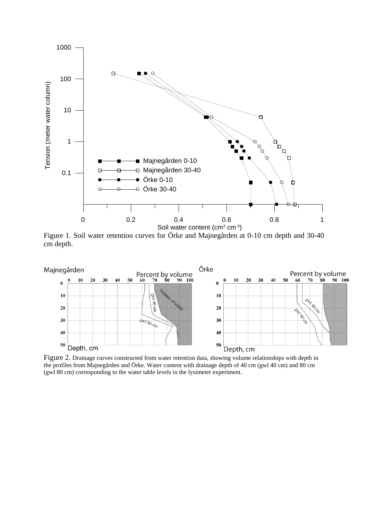

Figure 1. Soil water retention curves for Örke and Majnegården at 0-10 cm depth and 30-40 cm depth.



Figure 2. Drainage curves constructed from water retention data, showing volume relationships with depth in the profiles from Majnegården and Örke. Water content with drainage depth of 40 cm (gwl 40 cm) and 80 cm (gwl 80 cm) corresponding to the water table levels in the lysimeter experiment.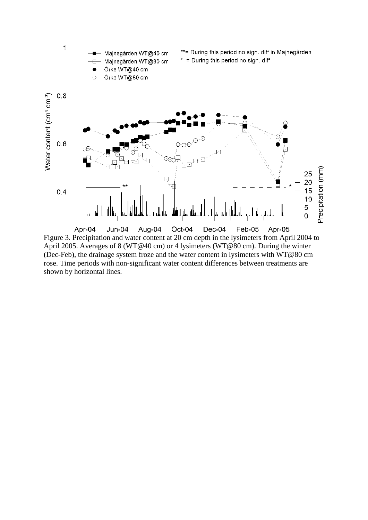

Figure 3. Precipitation and water content at 20 cm depth in the lysimeters from April 2004 to April 2005. Averages of 8 (WT@40 cm) or 4 lysimeters (WT@80 cm). During the winter (Dec-Feb), the drainage system froze and the water content in lysimeters with WT@80 cm rose. Time periods with non-significant water content differences between treatments are shown by horizontal lines.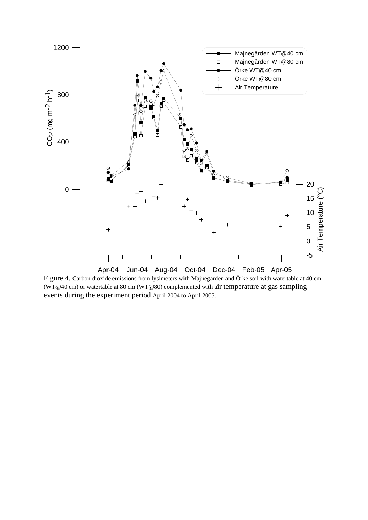

Figure 4. Carbon dioxide emissions from lysimeters with Majnegården and Örke soil with watertable at 40 cm (WT@40 cm) or watertable at 80 cm (WT@80) complemented with air temperature at gas sampling events during the experiment period April 2004 to April 2005.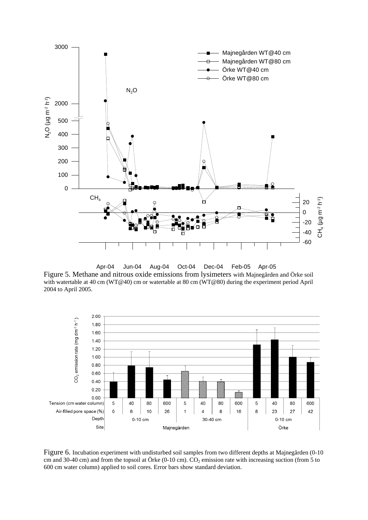

Apr-04 Jun-04 Aug-04 Oct-04 Dec-04 Feb-05 Apr-05

Figure 5. Methane and nitrous oxide emissions from lysimeters with Majnegården and Örke soil with watertable at 40 cm (WT@40) cm or watertable at 80 cm (WT@80) during the experiment period April 2004 to April 2005.



Figure 6. Incubation experiment with undisturbed soil samples from two different depths at Majnegården (0-10 cm and 30-40 cm) and from the topsoil at Örke (0-10 cm).  $CO_2$  emission rate with increasing suction (from 5 to 600 cm water column) applied to soil cores. Error bars show standard deviation.